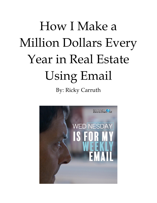# How I Make a Million Dollars Every Year in Real Estate Using Email By: Ricky Carruth

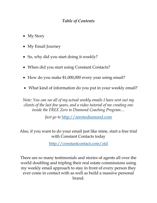### *Table of Contents*

- My Story
- My Email Journey
- So, why did you start doing it weekly?
- When did you start using Constant Contacts?
- How do you make \$1,000,000 every year using email?
- What kind of information do you put in your weekly email?

*Note: You can see all of my actual weekly emails I have sent out my clients of the last few years, and a video tutorial of me creating one inside the FREE Zero to Diamond Coaching Program…*

*Just go to* [http://zerotodiamond.com](http://zerotodiamond.com/)

Also, if you want to do your email just like mine, start a free trial with Constant Contacts today

<http://constantcontact.com/ztd>

There are so many testimonials and stories of agents all over the world doubling and tripling their real estate commissions using my weekly email approach to stay in front of every person they ever come in contact with as well as build a massive personal brand.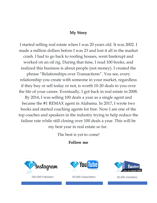#### **My Story**

I started selling real estate when I was 20 years old. It was 2002. I made a million dollars before I was 23 and lost it all in the market crash. I had to go back to roofing houses, went bankrupt and worked on an oil rig. During that time, I read 100 books, and realized this business is about people (not money). I created the

phrase "Relationships over Transactions". You see, every relationship you create with someone in your market, regardless if they buy or sell today or not, is worth 10-20 deals to you over the life of your career. Eventually, I got back in real estate in 2008.

By 2014, I was selling 100 deals a year as a single agent and became the #1 REMAX agent in Alabama. In 2017, I wrote two books and started coaching agents for free. Now I am one of the top coaches and speakers in the industry trying to help reduce the failure rate while still closing over 100 deals a year. This will be my best year in real estate so far.

The best is yet to come!

#### **Follow me**



250,000 Followers 50,000 Subscribers 30,000 members



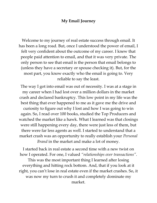#### **My Email Journey**

Welcome to my journey of real estate success through email. It has been a long road. But, once I understood the power of email, I felt very confident about the outcome of my career. I knew that people paid attention to email, and that it was very private. The only person to see that email is the person that email belongs to (unless they have a secretary or spouse checking it). But, for the most part, you know exactly who the email is going to. Very reliable to say the least.

The way I got into email was out of necessity. I was at a stage in my career when I had lost over a million dollars in the market crash and declared bankruptcy. This low point in my life was the best thing that ever happened to me as it gave me the drive and curiosity to figure out why I lost and how I was going to win again. So, I read over 100 books, studied the Top Producers and watched the market like a hawk. What I learned was that closings were still happening every day, there were just less of them, but there were far less agents as well. I started to understand that a market crash was an opportunity to really establish your *Personal Brand* in the market and make a lot of money.

I started back in real estate a second time with a new twist on how I operated. For one, I valued *"relationships over transactions"*. This was the most important thing I learned after losing everything and hitting rock bottom. And, that if you look at it right, you can't lose in real estate even if the market crashes. So, it was now my turn to crush it and completely dominate my market.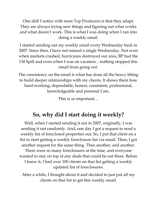One skill I notice with most Top Producers is that they adapt. They are always trying new things and figuring out what works and what doesn't work. This is what I was doing when I ran into doing a weekly email.

I started sending out my weekly email every Wednesday back in 2007. Since then, I have not missed a single Wednesday. Not even when markets crashed, hurricanes destroyed our area, BP had the Oil Spill and even when I was on vacation…nothing stopped this email from going out.

The consistency on the email is what has done all the heavy lifting to build deeper relationships with my clients. It shows them how hard-working, dependable, honest, consistent, professional, knowledgeable and personal I am.

This is so important…

# **So, why did I start doing it weekly?**

Well, when I started sending it out in 2007, originally, I was sending it out randomly. And, one day I got a request to send a weekly list of foreclosed properties out. So, I put that client on a list to start getting a weekly foreclosure list via email. Then, I got another request for the same thing. Then another, and another.

There were so many foreclosures at the time, and everyone wanted to stay on top of any deals that could be out there. Before I knew it, I had over 100 clients on that list getting a weekly updated list of foreclosures.

After a while, I thought about it and decided to just put all my clients on that list to get this weekly email.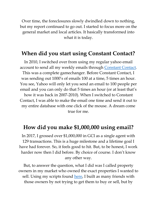Over time, the foreclosures slowly dwindled down to nothing, but my report continued to go out. I started to focus more on the general market and local articles. It basically transformed into what it is today.

## **When did you start using Constant Contact?**

In 2010, I switched over from using my regular yahoo email account to send all my weekly emails through [Constant Contact.](http://constantcontact.com/ztd) This was a complete gamechanger. Before Constant Contact, I was sending out 1000's of emails 100 at a time, 5 times an hour. You see, Yahoo will only let you send an email to 100 people per email and you can only do that 5 times an hour (or at least that's how it was back in 2007-2010). When I switched to Constant Contact, I was able to make the email one time and send it out to my entire database with one click of the mouse. A dream come true for me.

## **How did you make \$1,000,000 using email?**

In 2017, I grossed over \$1,000,000 in GCI as a single agent with 129 transactions. This is a huge milestone and a lifetime goal I have had forever. So, it feels good to hit. But, to be honest, I work harder now then I did before. By choice of course. I don't know any other way.

But, to answer the question, what I did was I called property owners in my market who owned the exact properties I wanted to sell. Using my scripts found [here,](htt://zerotodiamond.com/) I built as many friends with those owners by not trying to get them to buy or sell, but by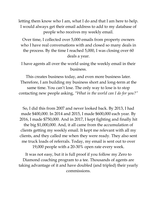letting them know who I am, what I do and that I am here to help. I would always get their email address to add to my database of people who receives my weekly email.

Over time, I collected over 5,000 emails from property owners who I have real conversations with and closed so many deals in the process. By the time I reached 5,000, I was closing over 60 deals a year.

I have agents all over the world using the weekly email in their business.

This creates business today, and even more business later. Therefore, I am building my business short and long-term at the same time. You can't lose. The only way to lose is to stop contacting new people asking, *"What in the world can I do for you?"*

So, I did this from 2007 and never looked back. By 2013, I had made \$400,000. In 2014 and 2015, I made \$600,000 each year. By 2016, I made \$750,000. And in 2017, I kept fighting and finally hit the big \$1,000,000. And, it all came from the accumulation of clients getting my weekly email. It kept me relevant with all my clients, and they called me when they were ready. They also sent me truck loads of referrals. Today, my email is sent out to over 19,000 people with a 20-30% open rate every week.

It was not easy, but it is full proof if you follow my Zero to Diamond coaching program to a tee. Thousands of agents are taking advantage of it and have doubled (and tripled) their yearly commissions.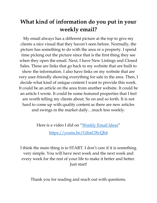# **What kind of information do you put in your weekly email?**

My email always has a different picture at the top to give my clients a nice visual that they haven't seen before. Normally, the picture has something to do with the area or a property. I spend time picking out the picture since that is the first thing they see when they open the email. Next, I have New Listings and Closed Sales. These are links that go back to my website that are built to show the information. I also have links on my website that are very user-friendly showing everything for sale in the area. Then, I decide what kind of unique content I want to provide this week. It could be an article on the area from another website. It could be an article I wrote. It could be some featured properties that I feel are worth telling my clients about. So on and so forth. It is not hard to come up with quality content as there are new articles and swings in the market daily…much less weekly.

Here is a video I did on "[Weekly Email Ideas](https://youtu.be/GtbaC0lvQh4)"

<https://youtu.be/GtbaC0lvQh4>

I think the main thing is to START. I don't care if it is something very simple. You will have next week and the next week and every week for the rest of your life to make it better and better. Just start!

Thank you for reading and reach out with questions.